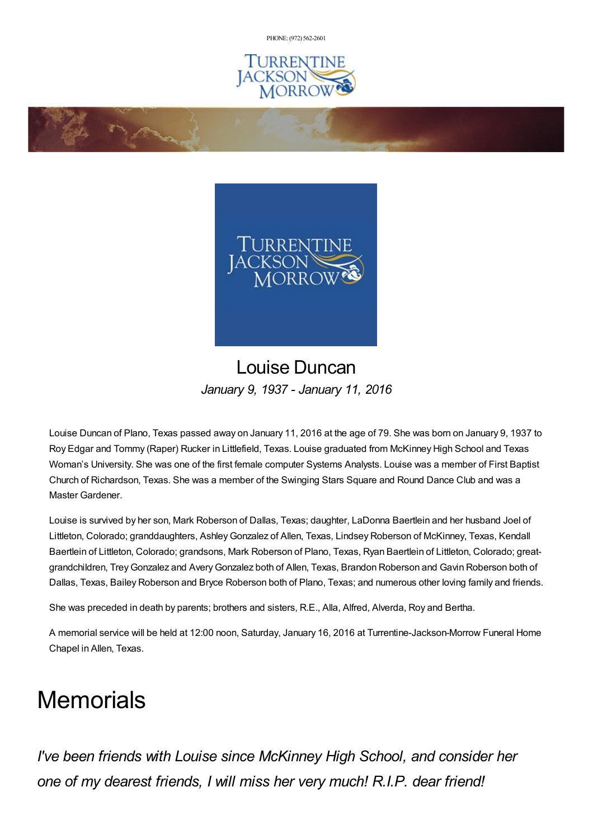PHONE: (972) [562-2601](tel:(972) 562-2601)



**Controller Strategy** 



## Louise Duncan *January 9, 1937 - January 11, 2016*

Louise Duncan of Plano, Texas passed away on January 11, 2016 at the age of 79. She was born on January 9, 1937 to Roy Edgar and Tommy (Raper) Rucker in Littlefield, Texas. Louise graduated from McKinney High School and Texas Woman's University. She was one of the first female computer Systems Analysts. Louise was a member of First Baptist Church of Richardson, Texas. She was a member of the Swinging Stars Square and Round Dance Club and was a Master Gardener.

Louise is survived by her son, Mark Roberson of Dallas, Texas; daughter, LaDonna Baertlein and her husband Joel of Littleton, Colorado; granddaughters, AshleyGonzalez of Allen, Texas, Lindsey Roberson of McKinney, Texas, Kendall Baertlein of Littleton, Colorado; grandsons, Mark Roberson of Plano, Texas, Ryan Baertlein of Littleton, Colorado; greatgrandchildren, TreyGonzalez and AveryGonzalez both of Allen, Texas, Brandon Roberson and Gavin Roberson both of Dallas, Texas, Bailey Roberson and Bryce Roberson both of Plano, Texas; and numerous other loving family and friends.

She was preceded in death by parents; brothers and sisters, R.E., Alla, Alfred, Alverda, Roy and Bertha.

A memorial service will be held at 12:00 noon, Saturday, January 16, 2016 at Turrentine-Jackson-Morrow Funeral Home Chapel in Allen, Texas.

## **Memorials**

*I've been friends with Louise since McKinney High School, and consider her one of my dearest friends, I will miss her very much! R.I.P. dear friend!*